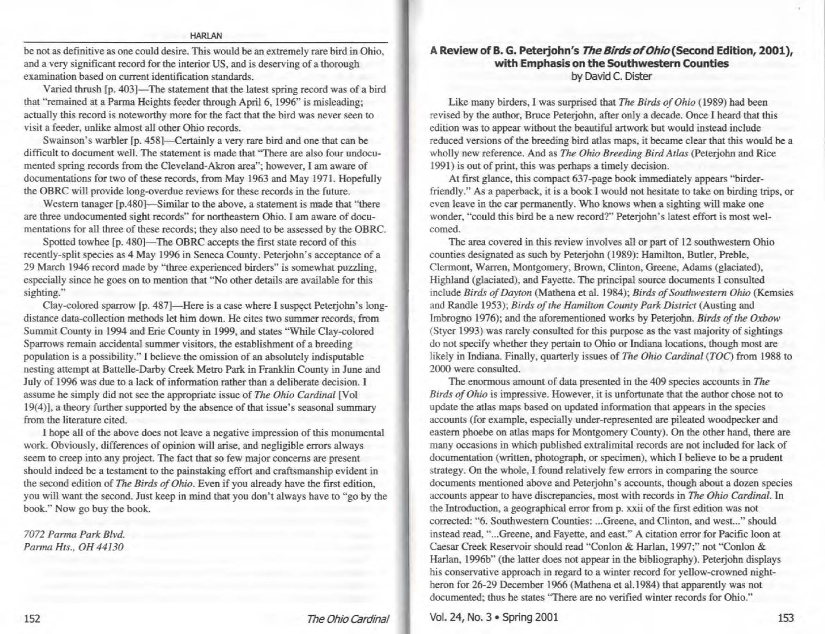### HARlAN

be not as definitive as one could desire. This would be an extremely rare bird in Ohio, and a very significant record for the interior US, and is deserving of a thorough examination based on current identification standards.

Varied thrush [p. 403]-The statement that the latest spring record was of a bird that "remained at a Parma Heights feeder through April 6, 1996" is misleading; actually this record is noteworthy more for the fact that the bird was never seen to visit a feeder, unlike almost all other Ohio records.

Swainson's warbler [p. 458]-Certainly a very rare bird and one that can be difficult to document well. The statement is made that 'There are also four undocumented spring records from the Cleveland-Akron area"; however, I am aware of documentations for two of these records, from May 1963 and May 1971. Hopefully the OBRC will provide long-overdue reviews for these records in the future.

Western tanager [p.480]—Similar to the above, a statement is made that "there are three undocumented sight records" for northeastern Ohio. I am aware of documentations for all three of these records; they also need to be assessed by the OBRC.

Spotted towhee [p. 480]—The OBRC accepts the first state record of this recently-split species as 4 May 1996 in Seneca County. Peterjohn's acceptance of a 29 March 1946 record made by "three experienced birders" is somewhat puzzling, especially since he goes on to mention that "No other details are available for this sighting."

Clay-colored sparrow [p. 487]—Here is a case where I suspect Peterjohn's longdistance data-collection methods let him down. He cites two summer records, from Summit County in 1994 and Erie County in 1999, and states "While Clay-colored Sparrows remain accidental summer visitors, the establishment of a breeding population is a possibility." I believe the omission of an absolutely indisputable nesting attempt at Battelle-Darby Creek Metro Park in Franklin County in June and July of 1996 was due to a lack of information rather than a deliberate decision. I assume he simply did not see the appropriate issue of *The Ohio Cardinal* [Vol 19(4)), a theory further supported by the absence of that issue's seasonal summary from the literature cited.

I hope all of the above does not leave a negative impression of this monumental work. Obviously, differences of opinion will arise, and negligible errors always seem to creep into any project. The fact that so few major concerns are present should indeed be a testament to the painstaking effort and craftsmanship evident in the second edition of *The Birds of Ohio.* Even if you already have the first edition, you will want the second. Just keep in mind that you don't always have to "go by the book.'' Now go buy the book.

*7072 Pamra Park Blvd. Pan11a Hts., OH 44130* 

## **A Review of .B. G. Peterjohn's The Birds of Ohio{Second Edition, 2001** ), **with Emphasis on the Southwestern Counties**  by David C. Dister

Like many birders, I was surprised that *The Birds of Ohio* (1989) had been revised by the author, Bruce Peterjohn, after only a decade. Once I heard that this edition was to appear without the beautiful artwork but would instead include reduced versions of the breeding bird atlas maps, it became clear that this would be a wholly new reference. And as *The Ohio Breeding Bird Atlas* (Peterjobn and Rice 1991 ) is out of print, this was perhaps a timely decision.

At first glance, this compact 637-page book immediately appears "birderfriendly." As a paperback, it is a book I would not hesitate to take on birding trips, or even leave in the car permanently. Who knows when a sighting will make one wonder, "could this bird be a new record?'' Peterjohn's latest effort is most welcomed.

The area covered in this review involves all or part of 12 southwestern Ohio counties designated as such by Peterjohn (1989): Hamilton, Butler, Preble, Clermont, Warren, Montgomery, Brown, Clinton, Greene, Adams (glaciated), Highland (glaciated), and Fayette. The principal source documents I consulted include *Birds of Dayton* (Mathena et al. 1984); *Birds of Southwestern Ohio* (Kemsies and Randle 1953); *Birds of the Hamilton County Park District* (Austing and Imbrogno 1976); and the aforementioned works by Peterjohn. *Birds of the Oxbow*  (Styer 1993) was rarely consulted for this purpose as the vast majority of sightings do not specify whether they pertain to Ohio or Indiana locations, though most are likely in Indiana. Finally, quarterly issues of *The Ohio Cardinal (TOC)* from 1988 to 2000 were consulted.

The enormous amount of data presented in the 409 species accounts in The *Birds of Ohio* is impressive. However, it is unfortunate that the author chose not to update the atlas maps based on updated information that appears in the species accounts (for example, especially under-represented are pileated woodpecker and eastern phoebe on atlas maps for Montgomery County). On the other hand, there are many occasions in which published extralimitaJ records are not included for lack of documentation (written, photograph, or specimen), which I believe to be a prudent strategy. On the whole, I found relatively few errors in comparing the source documents mentioned above and Peterjohn's accounts, though about a dozen species accounts appear to have discrepancies, most with records in *The Ohio Cardinal.* In the Introduction, a geographical error from p. xxii of the first edition was not corrected: "6. Southwestern Counties: ...Greene, and Clinton, and west..." should instead read, " ... Greene, and Fayette, and east." A citation error for Pacific loon at Caesar Creek Reservoir should read "Conlon & Harlan, 1997;" not "Conlon & Harlan, 1996b" (the latter does not appear in the bibliography). Peterjohn displays his conservative approach in regard to a winter record for yellow-crowned nightheron for 26-29 December 1966 (Mathena et al.1984) that apparently was not documented; thus be states 'There are no verified winter records for Ohio."